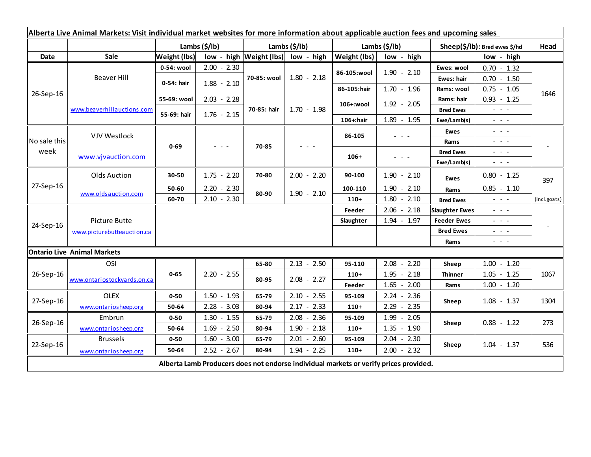| Alberta Live Animal Markets: Visit individual market websites for more information about applicable auction fees and upcoming sales |                             |                     |                                                                                                |               |                                    |               |                                             |                               |                                                                                                                           |              |
|-------------------------------------------------------------------------------------------------------------------------------------|-----------------------------|---------------------|------------------------------------------------------------------------------------------------|---------------|------------------------------------|---------------|---------------------------------------------|-------------------------------|---------------------------------------------------------------------------------------------------------------------------|--------------|
|                                                                                                                                     |                             | Lambs (\$/lb)       |                                                                                                | Lambs (\$/lb) |                                    | Lambs (\$/lb) |                                             | Sheep(\$/lb): Bred ewes \$/hd |                                                                                                                           | Head         |
| <b>Date</b>                                                                                                                         | Sale                        | <b>Weight (lbs)</b> |                                                                                                |               | low - high Weight (lbs) low - high | Weight (lbs)  | low - high                                  |                               | low - high                                                                                                                |              |
| 26-Sep-16                                                                                                                           | Beaver Hill                 | 0-54: wool          | $2.00 - 2.30$                                                                                  | 70-85: wool   | $1.80 - 2.18$                      | 86-105:wool   | $1.90 - 2.10$                               | Ewes: wool                    | $0.70 - 1.32$                                                                                                             |              |
|                                                                                                                                     |                             | 0-54: hair          | $1.88 - 2.10$                                                                                  |               |                                    |               |                                             | Ewes: hair                    | $0.70 - 1.50$                                                                                                             |              |
|                                                                                                                                     |                             |                     |                                                                                                |               |                                    | 86-105:hair   | $1.70 - 1.96$                               | Rams: wool                    | $0.75 - 1.05$                                                                                                             | 1646         |
|                                                                                                                                     | www.beaverhillauctions.com  | 55-69: wool         | $2.03 - 2.28$                                                                                  | 70-85: hair   | $1.70 - 1.98$                      | 106+:wool     | $1.92 - 2.05$                               | Rams: hair                    | $0.93 - 1.25$                                                                                                             |              |
|                                                                                                                                     |                             | 55-69: hair         | $1.76 - 2.15$                                                                                  |               |                                    |               |                                             | <b>Bred Ewes</b>              | $\omega_{\rm{eff}}$ and $\omega_{\rm{eff}}$                                                                               |              |
|                                                                                                                                     |                             |                     |                                                                                                |               |                                    | 106+:hair     | $1.89 - 1.95$                               | Ewe/Lamb(s)                   | $\frac{1}{2} \left( \frac{1}{2} \right) \left( \frac{1}{2} \right) \left( \frac{1}{2} \right)$                            |              |
| No sale this<br>week                                                                                                                | <b>VJV Westlock</b>         | $0 - 69$            | $\frac{1}{2} \left( \frac{1}{2} \right) \left( \frac{1}{2} \right) \left( \frac{1}{2} \right)$ | 70-85         |                                    | 86-105        | $\omega_{\rm{eff}}$ and $\omega_{\rm{eff}}$ | Ewes                          | $\frac{1}{2} \left( \frac{1}{2} \right) \left( \frac{1}{2} \right) \left( \frac{1}{2} \right) \left( \frac{1}{2} \right)$ |              |
|                                                                                                                                     |                             |                     |                                                                                                |               |                                    |               |                                             | Rams                          | $  -$                                                                                                                     |              |
|                                                                                                                                     | www.vjvauction.com          |                     |                                                                                                |               |                                    | $106+$        | - - -                                       | <b>Bred Ewes</b>              | $\omega_{\rm{eff}}$ and $\omega_{\rm{eff}}$                                                                               |              |
|                                                                                                                                     |                             |                     |                                                                                                |               |                                    |               |                                             | Ewe/Lamb(s)                   | $\frac{1}{2} \left( \frac{1}{2} \right) \left( \frac{1}{2} \right) \left( \frac{1}{2} \right) \left( \frac{1}{2} \right)$ |              |
| 27-Sep-16                                                                                                                           | Olds Auction                | 30-50               | $1.75 - 2.20$                                                                                  | 70-80         | $2.00 - 2.20$                      | 90-100        | $1.90 - 2.10$                               | <b>Ewes</b>                   | $0.80 - 1.25$                                                                                                             | 397          |
|                                                                                                                                     | www.oldsauction.com         | 50-60               | $2.20 - 2.30$                                                                                  | 80-90         | $1.90 - 2.10$                      | 100-110       | $1.90 - 2.10$                               | Rams                          | $0.85 - 1.10$                                                                                                             |              |
|                                                                                                                                     |                             | 60-70               | $2.10 - 2.30$                                                                                  |               |                                    | $110+$        | $1.80 - 2.10$                               | <b>Bred Ewes</b>              | $\omega_{\rm{max}}$ and $\omega_{\rm{max}}$                                                                               | (incl.goats) |
| 24-Sep-16                                                                                                                           |                             |                     |                                                                                                |               |                                    | Feeder        | $2.06 - 2.18$                               | <b>Slaughter Ewes</b>         | $\frac{1}{2} \left( \frac{1}{2} \right) \left( \frac{1}{2} \right) \left( \frac{1}{2} \right) \left( \frac{1}{2} \right)$ |              |
|                                                                                                                                     | Picture Butte               |                     |                                                                                                |               |                                    | Slaughter     | $1.94 - 1.97$                               | <b>Feeder Ewes</b>            | $\omega_{\rm{eff}}=0.01$                                                                                                  |              |
|                                                                                                                                     | www.picturebutteauction.ca  |                     |                                                                                                |               |                                    |               | <b>Bred Ewes</b>                            |                               | $\frac{1}{2} \left( \frac{1}{2} \right) = \frac{1}{2} \left( \frac{1}{2} \right)$                                         |              |
|                                                                                                                                     |                             |                     |                                                                                                |               |                                    |               |                                             | Rams                          | $  -$                                                                                                                     |              |
| <b>Ontario Live Animal Markets</b>                                                                                                  |                             |                     |                                                                                                |               |                                    |               |                                             |                               |                                                                                                                           |              |
| 26-Sep-16                                                                                                                           | OSI                         |                     |                                                                                                | 65-80         | $2.13 - 2.50$                      | 95-110        | $2.08 - 2.20$                               | Sheep                         | $1.00 - 1.20$                                                                                                             |              |
|                                                                                                                                     | www.ontariostockyards.on.ca | $0 - 65$            | $2.20 - 2.55$                                                                                  | 80-95         | $2.08 - 2.27$                      | $110+$        | $1.95 - 2.18$                               | <b>Thinner</b>                | $1.05 - 1.25$                                                                                                             | 1067         |
|                                                                                                                                     |                             |                     |                                                                                                |               |                                    | Feeder        | $1.65 - 2.00$                               | Rams                          | $1.00 - 1.20$                                                                                                             |              |
| 27-Sep-16                                                                                                                           | <b>OLEX</b>                 | $0 - 50$            | $1.50 - 1.93$                                                                                  | 65-79         | $2.10 - 2.55$                      | 95-109        | $2.24 - 2.36$                               | Sheep                         | $1.08 - 1.37$                                                                                                             | 1304         |
|                                                                                                                                     | www.ontariosheep.org        | 50-64               | $2.28 - 3.03$                                                                                  | 80-94         | $2.17 - 2.33$                      | $110+$        | $2.29 - 2.35$                               |                               |                                                                                                                           |              |
| 26-Sep-16                                                                                                                           | Embrun                      | $0 - 50$            | $1.30 - 1.55$                                                                                  | 65-79         | $2.08 - 2.36$                      | 95-109        | $1.99 - 2.05$                               | Sheep                         | $0.88 - 1.22$                                                                                                             | 273          |
|                                                                                                                                     | www.ontariosheep.org        | 50-64               | $1.69 - 2.50$                                                                                  | 80-94         | $1.90 - 2.18$                      | $110+$        | $1.35 - 1.90$                               |                               |                                                                                                                           |              |
| 22-Sep-16                                                                                                                           | <b>Brussels</b>             | $0 - 50$            | $1.60 - 3.00$                                                                                  | 65-79         | $2.01 - 2.60$                      | 95-109        | $2.04 - 2.30$                               |                               | $1.04 - 1.37$                                                                                                             | 536          |
|                                                                                                                                     | www.ontariosheep.org        | 50-64               | $2.52 - 2.67$                                                                                  | 80-94         | $1.94 - 2.25$                      | $110+$        | $2.00 - 2.32$                               | Sheep                         |                                                                                                                           |              |
| Alberta Lamb Producers does not endorse individual markets or verify prices provided.                                               |                             |                     |                                                                                                |               |                                    |               |                                             |                               |                                                                                                                           |              |